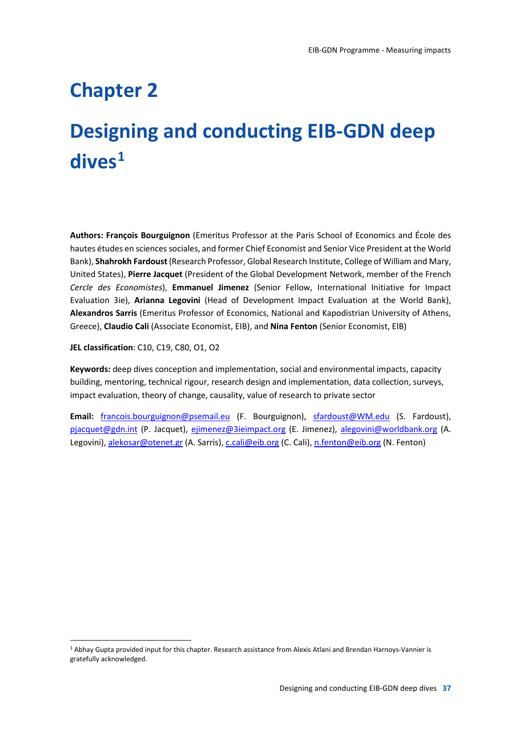### **Chapter 2**

### **Designing and conducting EIB-GDN deep dives1**

**Authors: François Bourguignon** (Emeritus Professor at the Paris School of Economics and École des hautes études en sciences sociales, and former Chief Economist and Senior Vice President at the World Bank), **Shahrokh Fardoust**(Research Professor, Global Research Institute, College of William and Mary, United States), **Pierre Jacquet** (President of the Global Development Network, member of the French *Cercle des Economistes*), **Emmanuel Jimenez** (Senior Fellow, International Initiative for Impact Evaluation 3ie), **Arianna Legovini** (Head of Development Impact Evaluation at the World Bank), **Alexandros Sarris** (Emeritus Professor of Economics, National and Kapodistrian University of Athens, Greece), **Claudio Cali** (Associate Economist, EIB), and **Nina Fenton** (Senior Economist, EIB)

**JEL classification**: C10, C19, C80, O1, O2

**Keywords:** deep dives conception and implementation, social and environmental impacts, capacity building, mentoring, technical rigour, research design and implementation, data collection, surveys, impact evaluation, theory of change, causality, value of research to private sector

**Email:** francois.bourguignon@psemail.eu (F. Bourguignon), sfardoust@WM.edu (S. Fardoust), pjacquet@gdn.int (P. Jacquet), ejimenez@3ieimpact.org (E. Jimenez), alegovini@worldbank.org (A. Legovini), alekosar@otenet.gr (A. Sarris), c.cali@eib.org (C. Cali), n.fenton@eib.org (N. Fenton)

 <sup>1</sup> Abhay Gupta provided input for this chapter. Research assistance from Alexis Atlani and Brendan Harnoys-Vannier is gratefully acknowledged.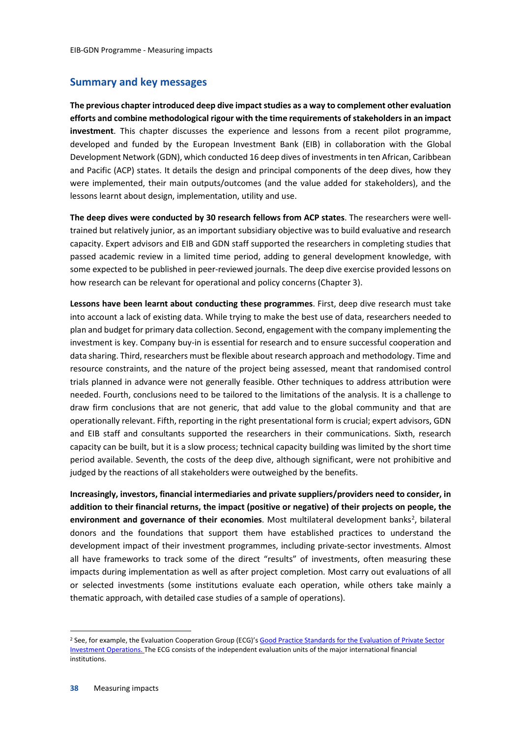#### **Summary and key messages**

**The previous chapter introduced deep dive impact studies as a way to complement other evaluation efforts and combine methodological rigour with the time requirements of stakeholders in an impact investment**. This chapter discusses the experience and lessons from a recent pilot programme, developed and funded by the European Investment Bank (EIB) in collaboration with the Global Development Network (GDN), which conducted 16 deep dives of investments in ten African, Caribbean and Pacific (ACP) states. It details the design and principal components of the deep dives, how they were implemented, their main outputs/outcomes (and the value added for stakeholders), and the lessons learnt about design, implementation, utility and use.

**The deep dives were conducted by 30 research fellows from ACP states**. The researchers were welltrained but relatively junior, as an important subsidiary objective was to build evaluative and research capacity. Expert advisors and EIB and GDN staff supported the researchers in completing studies that passed academic review in a limited time period, adding to general development knowledge, with some expected to be published in peer-reviewed journals. The deep dive exercise provided lessons on how research can be relevant for operational and policy concerns (Chapter 3).

**Lessons have been learnt about conducting these programmes**. First, deep dive research must take into account a lack of existing data. While trying to make the best use of data, researchers needed to plan and budget for primary data collection. Second, engagement with the company implementing the investment is key. Company buy-in is essential for research and to ensure successful cooperation and data sharing. Third, researchers must be flexible about research approach and methodology. Time and resource constraints, and the nature of the project being assessed, meant that randomised control trials planned in advance were not generally feasible. Other techniques to address attribution were needed. Fourth, conclusions need to be tailored to the limitations of the analysis. It is a challenge to draw firm conclusions that are not generic, that add value to the global community and that are operationally relevant. Fifth, reporting in the right presentational form is crucial; expert advisors, GDN and EIB staff and consultants supported the researchers in their communications. Sixth, research capacity can be built, but it is a slow process; technical capacity building was limited by the short time period available. Seventh, the costs of the deep dive, although significant, were not prohibitive and judged by the reactions of all stakeholders were outweighed by the benefits.

**Increasingly, investors, financial intermediaries and private suppliers/providers need to consider, in addition to their financial returns, the impact (positive or negative) of their projects on people, the**  environment and governance of their economies. Most multilateral development banks<sup>2</sup>, bilateral donors and the foundations that support them have established practices to understand the development impact of their investment programmes, including private-sector investments. Almost all have frameworks to track some of the direct "results" of investments, often measuring these impacts during implementation as well as after project completion. Most carry out evaluations of all or selected investments (some institutions evaluate each operation, while others take mainly a thematic approach, with detailed case studies of a sample of operations).

 <sup>2</sup> See, for example, the Evaluation Cooperation Group (ECG)'s Good Practice Standards for the Evaluation of Private Sector Investment Operations. The ECG consists of the independent evaluation units of the major international financial institutions.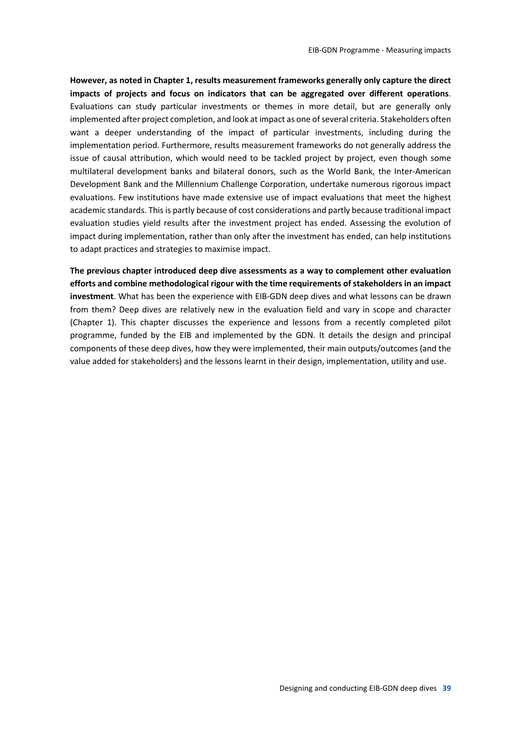**However, as noted in Chapter 1, results measurement frameworks generally only capture the direct impacts of projects and focus on indicators that can be aggregated over different operations**. Evaluations can study particular investments or themes in more detail, but are generally only implemented after project completion, and look at impact as one of several criteria. Stakeholders often want a deeper understanding of the impact of particular investments, including during the implementation period. Furthermore, results measurement frameworks do not generally address the issue of causal attribution, which would need to be tackled project by project, even though some multilateral development banks and bilateral donors, such as the World Bank, the Inter-American Development Bank and the Millennium Challenge Corporation, undertake numerous rigorous impact evaluations. Few institutions have made extensive use of impact evaluations that meet the highest academic standards. This is partly because of cost considerations and partly because traditional impact evaluation studies yield results after the investment project has ended. Assessing the evolution of impact during implementation, rather than only after the investment has ended, can help institutions to adapt practices and strategies to maximise impact.

**The previous chapter introduced deep dive assessments as a way to complement other evaluation efforts and combine methodological rigour with the time requirements of stakeholders in an impact investment**. What has been the experience with EIB-GDN deep dives and what lessons can be drawn from them? Deep dives are relatively new in the evaluation field and vary in scope and character (Chapter 1). This chapter discusses the experience and lessons from a recently completed pilot programme, funded by the EIB and implemented by the GDN. It details the design and principal components of these deep dives, how they were implemented, their main outputs/outcomes (and the value added for stakeholders) and the lessons learnt in their design, implementation, utility and use.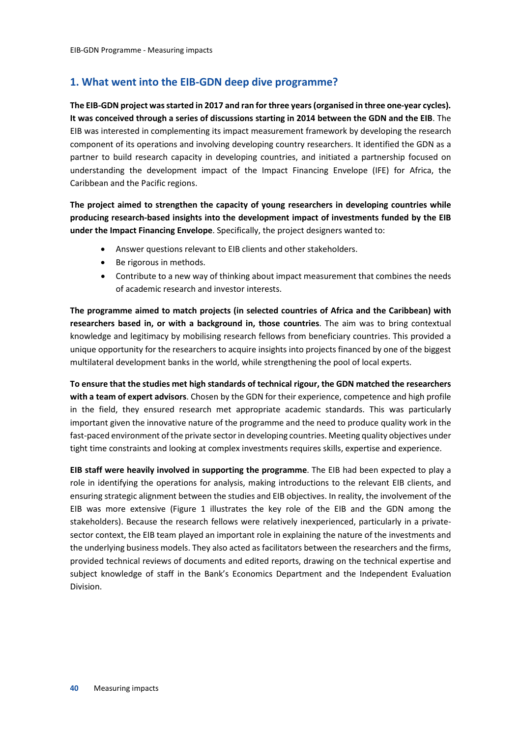#### **1. What went into the EIB-GDN deep dive programme?**

**The EIB-GDN project was started in 2017 and ran for three years (organised in three one-year cycles). It was conceived through a series of discussions starting in 2014 between the GDN and the EIB**. The EIB was interested in complementing its impact measurement framework by developing the research component of its operations and involving developing country researchers. It identified the GDN as a partner to build research capacity in developing countries, and initiated a partnership focused on understanding the development impact of the Impact Financing Envelope (IFE) for Africa, the Caribbean and the Pacific regions.

**The project aimed to strengthen the capacity of young researchers in developing countries while producing research-based insights into the development impact of investments funded by the EIB under the Impact Financing Envelope**. Specifically, the project designers wanted to:

- Answer questions relevant to EIB clients and other stakeholders.
- Be rigorous in methods.
- Contribute to a new way of thinking about impact measurement that combines the needs of academic research and investor interests.

**The programme aimed to match projects (in selected countries of Africa and the Caribbean) with researchers based in, or with a background in, those countries**. The aim was to bring contextual knowledge and legitimacy by mobilising research fellows from beneficiary countries. This provided a unique opportunity for the researchers to acquire insights into projects financed by one of the biggest multilateral development banks in the world, while strengthening the pool of local experts.

**To ensure that the studies met high standards of technical rigour, the GDN matched the researchers with a team of expert advisors**. Chosen by the GDN for their experience, competence and high profile in the field, they ensured research met appropriate academic standards. This was particularly important given the innovative nature of the programme and the need to produce quality work in the fast-paced environment of the private sector in developing countries. Meeting quality objectives under tight time constraints and looking at complex investments requires skills, expertise and experience.

**EIB staff were heavily involved in supporting the programme**. The EIB had been expected to play a role in identifying the operations for analysis, making introductions to the relevant EIB clients, and ensuring strategic alignment between the studies and EIB objectives. In reality, the involvement of the EIB was more extensive (Figure 1 illustrates the key role of the EIB and the GDN among the stakeholders). Because the research fellows were relatively inexperienced, particularly in a privatesector context, the EIB team played an important role in explaining the nature of the investments and the underlying business models. They also acted as facilitators between the researchers and the firms, provided technical reviews of documents and edited reports, drawing on the technical expertise and subject knowledge of staff in the Bank's Economics Department and the Independent Evaluation Division.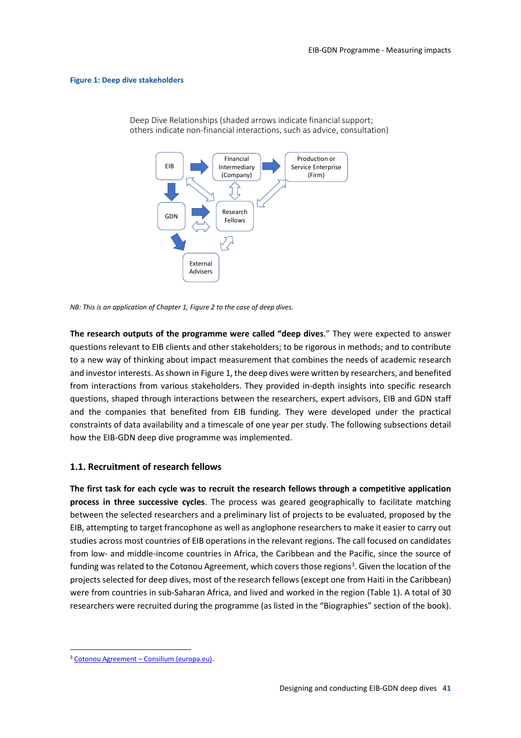#### **Figure 1: Deep dive stakeholders**



Deep Dive Relationships (shaded arrows indicate financial support; others indicate non-financial interactions, such as advice, consultation)

**The research outputs of the programme were called "deep dives**." They were expected to answer questions relevant to EIB clients and other stakeholders; to be rigorous in methods; and to contribute to a new way of thinking about impact measurement that combines the needs of academic research and investor interests. As shown in Figure 1, the deep dives were written by researchers, and benefited from interactions from various stakeholders. They provided in-depth insights into specific research questions, shaped through interactions between the researchers, expert advisors, EIB and GDN staff and the companies that benefited from EIB funding. They were developed under the practical constraints of data availability and a timescale of one year per study. The following subsections detail how the EIB-GDN deep dive programme was implemented.

#### **1.1. Recruitment of research fellows**

**The first task for each cycle was to recruit the research fellows through a competitive application process in three successive cycles**. The process was geared geographically to facilitate matching between the selected researchers and a preliminary list of projects to be evaluated, proposed by the EIB, attempting to target francophone as well as anglophone researchers to make it easier to carry out studies across most countries of EIB operations in the relevant regions. The call focused on candidates from low- and middle-income countries in Africa, the Caribbean and the Pacific, since the source of funding was related to the Cotonou Agreement, which covers those regions<sup>3</sup>. Given the location of the projects selected for deep dives, most of the research fellows (except one from Haiti in the Caribbean) were from countries in sub-Saharan Africa, and lived and worked in the region (Table 1). A total of 30 researchers were recruited during the programme (as listed in the "Biographies" section of the book).

*NB: This is an application of Chapter 1, Figure 2 to the case of deep dives.*

 <sup>3</sup> Cotonou Agreement – Consilium (europa.eu).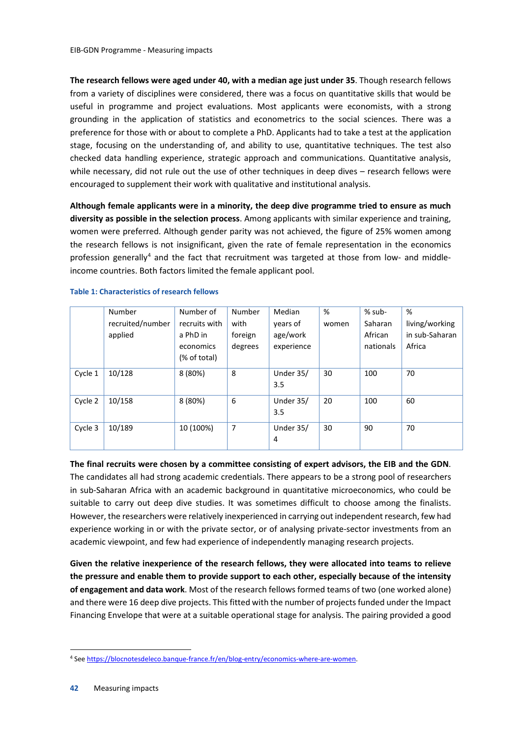**The research fellows were aged under 40, with a median age just under 35**. Though research fellows from a variety of disciplines were considered, there was a focus on quantitative skills that would be useful in programme and project evaluations. Most applicants were economists, with a strong grounding in the application of statistics and econometrics to the social sciences. There was a preference for those with or about to complete a PhD. Applicants had to take a test at the application stage, focusing on the understanding of, and ability to use, quantitative techniques. The test also checked data handling experience, strategic approach and communications. Quantitative analysis, while necessary, did not rule out the use of other techniques in deep dives – research fellows were encouraged to supplement their work with qualitative and institutional analysis.

**Although female applicants were in a minority, the deep dive programme tried to ensure as much diversity as possible in the selection process**. Among applicants with similar experience and training, women were preferred. Although gender parity was not achieved, the figure of 25% women among the research fellows is not insignificant, given the rate of female representation in the economics profession generally4 and the fact that recruitment was targeted at those from low- and middleincome countries. Both factors limited the female applicant pool.

|         | Number           | Number of     | Number  | Median     | %     | % sub-    | %              |
|---------|------------------|---------------|---------|------------|-------|-----------|----------------|
|         | recruited/number | recruits with | with    | years of   | women | Saharan   | living/working |
|         | applied          | a PhD in      | foreign | age/work   |       | African   | in sub-Saharan |
|         |                  | economics     | degrees | experience |       | nationals | Africa         |
|         |                  | (% of total)  |         |            |       |           |                |
| Cycle 1 | 10/128           | 8 (80%)       | 8       | Under 35/  | 30    | 100       | 70             |
|         |                  |               |         | 3.5        |       |           |                |
| Cycle 2 | 10/158           | 8 (80%)       | 6       | Under 35/  | 20    | 100       | 60             |
|         |                  |               |         | 3.5        |       |           |                |
| Cycle 3 | 10/189           | 10 (100%)     | 7       | Under 35/  | 30    | 90        | 70             |
|         |                  |               |         | 4          |       |           |                |

#### **Table 1: Characteristics of research fellows**

**The final recruits were chosen by a committee consisting of expert advisors, the EIB and the GDN**.

The candidates all had strong academic credentials. There appears to be a strong pool of researchers in sub-Saharan Africa with an academic background in quantitative microeconomics, who could be suitable to carry out deep dive studies. It was sometimes difficult to choose among the finalists. However, the researchers were relatively inexperienced in carrying out independent research, few had experience working in or with the private sector, or of analysing private-sector investments from an academic viewpoint, and few had experience of independently managing research projects.

**Given the relative inexperience of the research fellows, they were allocated into teams to relieve the pressure and enable them to provide support to each other, especially because of the intensity of engagement and data work**. Most of the research fellows formed teams of two (one worked alone) and there were 16 deep dive projects. This fitted with the number of projects funded under the Impact Financing Envelope that were at a suitable operational stage for analysis. The pairing provided a good

 <sup>4</sup> See https://blocnotesdeleco.banque-france.fr/en/blog-entry/economics-where-are-women.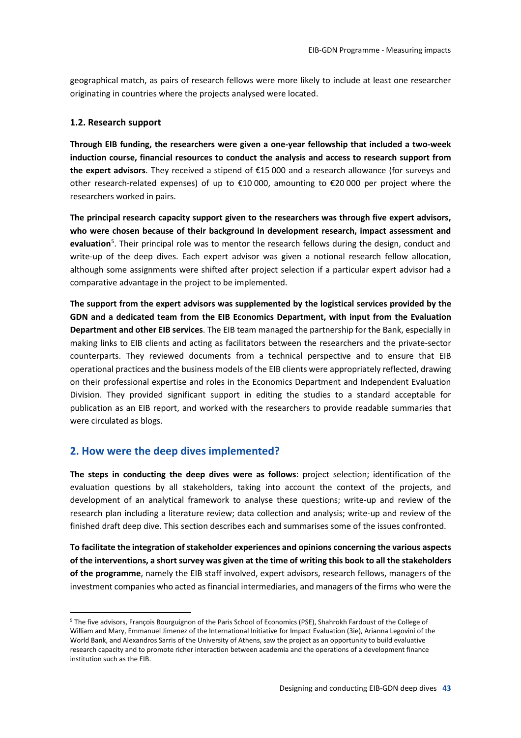geographical match, as pairs of research fellows were more likely to include at least one researcher originating in countries where the projects analysed were located.

#### **1.2. Research support**

**Through EIB funding, the researchers were given a one-year fellowship that included a two-week induction course, financial resources to conduct the analysis and access to research support from the expert advisors**. They received a stipend of €15 000 and a research allowance (for surveys and other research-related expenses) of up to €10 000, amounting to €20 000 per project where the researchers worked in pairs.

**The principal research capacity support given to the researchers was through five expert advisors, who were chosen because of their background in development research, impact assessment and evaluation**<sup>5</sup> . Their principal role was to mentor the research fellows during the design, conduct and write-up of the deep dives. Each expert advisor was given a notional research fellow allocation, although some assignments were shifted after project selection if a particular expert advisor had a comparative advantage in the project to be implemented.

**The support from the expert advisors was supplemented by the logistical services provided by the GDN and a dedicated team from the EIB Economics Department, with input from the Evaluation Department and other EIB services**. The EIB team managed the partnership for the Bank, especially in making links to EIB clients and acting as facilitators between the researchers and the private-sector counterparts. They reviewed documents from a technical perspective and to ensure that EIB operational practices and the business models of the EIB clients were appropriately reflected, drawing on their professional expertise and roles in the Economics Department and Independent Evaluation Division. They provided significant support in editing the studies to a standard acceptable for publication as an EIB report, and worked with the researchers to provide readable summaries that were circulated as blogs.

#### **2. How were the deep dives implemented?**

**The steps in conducting the deep dives were as follows**: project selection; identification of the evaluation questions by all stakeholders, taking into account the context of the projects, and development of an analytical framework to analyse these questions; write-up and review of the research plan including a literature review; data collection and analysis; write-up and review of the finished draft deep dive. This section describes each and summarises some of the issues confronted.

**To facilitate the integration of stakeholder experiences and opinions concerning the various aspects of the interventions, a short survey was given at the time of writing this book to all the stakeholders of the programme**, namely the EIB staff involved, expert advisors, research fellows, managers of the investment companies who acted as financial intermediaries, and managers of the firms who were the

 <sup>5</sup> The five advisors, François Bourguignon of the Paris School of Economics (PSE), Shahrokh Fardoust of the College of William and Mary, Emmanuel Jimenez of the International Initiative for Impact Evaluation (3ie), Arianna Legovini of the World Bank, and Alexandros Sarris of the University of Athens, saw the project as an opportunity to build evaluative research capacity and to promote richer interaction between academia and the operations of a development finance institution such as the EIB.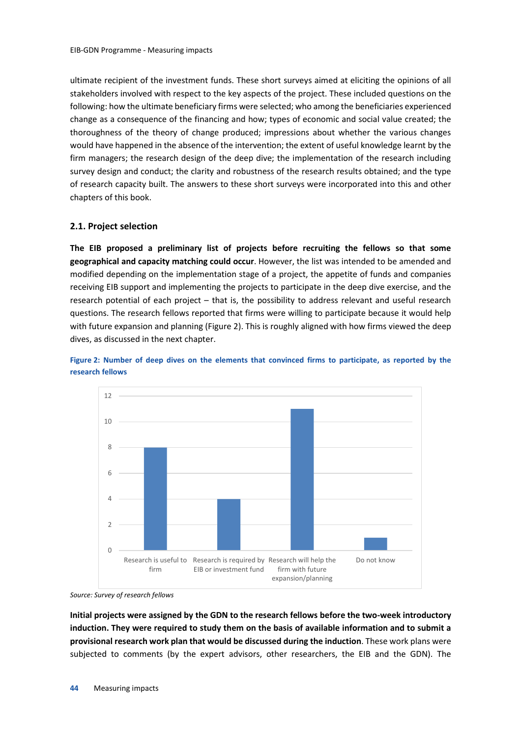ultimate recipient of the investment funds. These short surveys aimed at eliciting the opinions of all stakeholders involved with respect to the key aspects of the project. These included questions on the following: how the ultimate beneficiary firms were selected; who among the beneficiaries experienced change as a consequence of the financing and how; types of economic and social value created; the thoroughness of the theory of change produced; impressions about whether the various changes would have happened in the absence of the intervention; the extent of useful knowledge learnt by the firm managers; the research design of the deep dive; the implementation of the research including survey design and conduct; the clarity and robustness of the research results obtained; and the type of research capacity built. The answers to these short surveys were incorporated into this and other chapters of this book.

#### **2.1. Project selection**

**The EIB proposed a preliminary list of projects before recruiting the fellows so that some geographical and capacity matching could occur**. However, the list was intended to be amended and modified depending on the implementation stage of a project, the appetite of funds and companies receiving EIB support and implementing the projects to participate in the deep dive exercise, and the research potential of each project – that is, the possibility to address relevant and useful research questions. The research fellows reported that firms were willing to participate because it would help with future expansion and planning (Figure 2). This is roughly aligned with how firms viewed the deep dives, as discussed in the next chapter.





*Source: Survey of research fellows*

**Initial projects were assigned by the GDN to the research fellows before the two-week introductory induction. They were required to study them on the basis of available information and to submit a provisional research work plan that would be discussed during the induction**. These work plans were subjected to comments (by the expert advisors, other researchers, the EIB and the GDN). The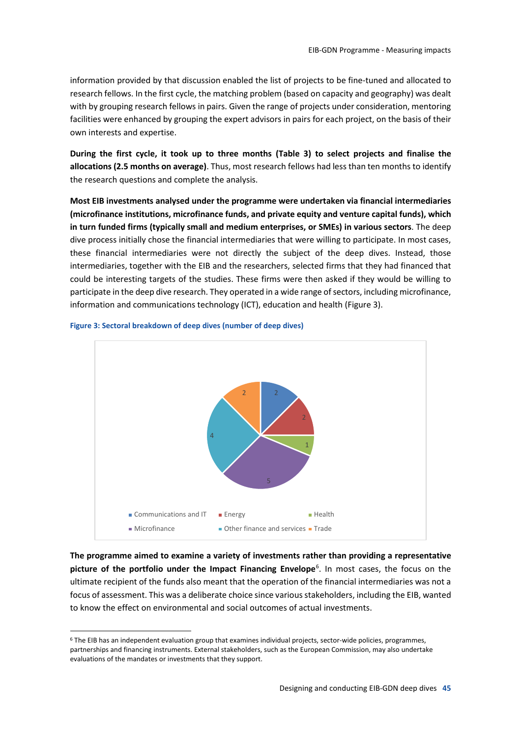information provided by that discussion enabled the list of projects to be fine-tuned and allocated to research fellows. In the first cycle, the matching problem (based on capacity and geography) was dealt with by grouping research fellows in pairs. Given the range of projects under consideration, mentoring facilities were enhanced by grouping the expert advisors in pairs for each project, on the basis of their own interests and expertise.

**During the first cycle, it took up to three months (Table 3) to select projects and finalise the allocations (2.5 months on average)**. Thus, most research fellows had less than ten months to identify the research questions and complete the analysis.

**Most EIB investments analysed under the programme were undertaken via financial intermediaries (microfinance institutions, microfinance funds, and private equity and venture capital funds), which in turn funded firms (typically small and medium enterprises, or SMEs) in various sectors**. The deep dive process initially chose the financial intermediaries that were willing to participate. In most cases, these financial intermediaries were not directly the subject of the deep dives. Instead, those intermediaries, together with the EIB and the researchers, selected firms that they had financed that could be interesting targets of the studies. These firms were then asked if they would be willing to participate in the deep dive research. They operated in a wide range of sectors, including microfinance, information and communications technology (ICT), education and health (Figure 3).



#### **Figure 3: Sectoral breakdown of deep dives (number of deep dives)**

**The programme aimed to examine a variety of investments rather than providing a representative picture of the portfolio under the Impact Financing Envelope**<sup>6</sup> . In most cases, the focus on the ultimate recipient of the funds also meant that the operation of the financial intermediaries was not a focus of assessment. This was a deliberate choice since various stakeholders, including the EIB, wanted to know the effect on environmental and social outcomes of actual investments.

 <sup>6</sup> The EIB has an independent evaluation group that examines individual projects, sector-wide policies, programmes, partnerships and financing instruments. External stakeholders, such as the European Commission, may also undertake evaluations of the mandates or investments that they support.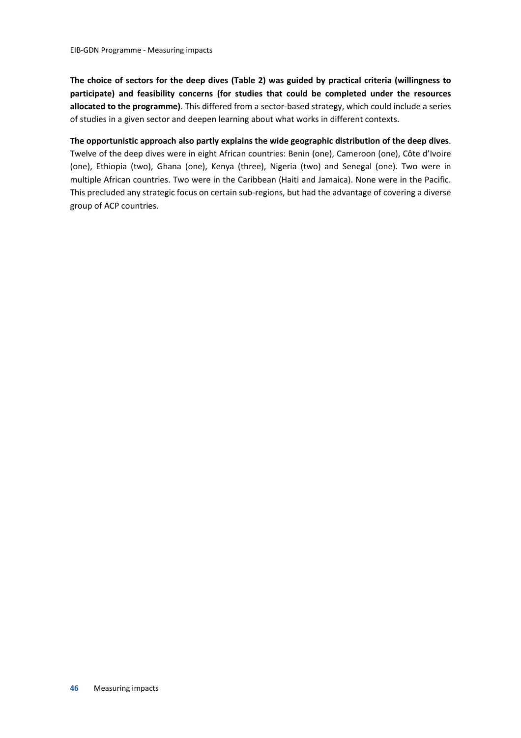**The choice of sectors for the deep dives (Table 2) was guided by practical criteria (willingness to participate) and feasibility concerns (for studies that could be completed under the resources allocated to the programme)**. This differed from a sector-based strategy, which could include a series of studies in a given sector and deepen learning about what works in different contexts.

**The opportunistic approach also partly explains the wide geographic distribution of the deep dives**. Twelve of the deep dives were in eight African countries: Benin (one), Cameroon (one), Côte d'Ivoire (one), Ethiopia (two), Ghana (one), Kenya (three), Nigeria (two) and Senegal (one). Two were in multiple African countries. Two were in the Caribbean (Haiti and Jamaica). None were in the Pacific. This precluded any strategic focus on certain sub-regions, but had the advantage of covering a diverse group of ACP countries.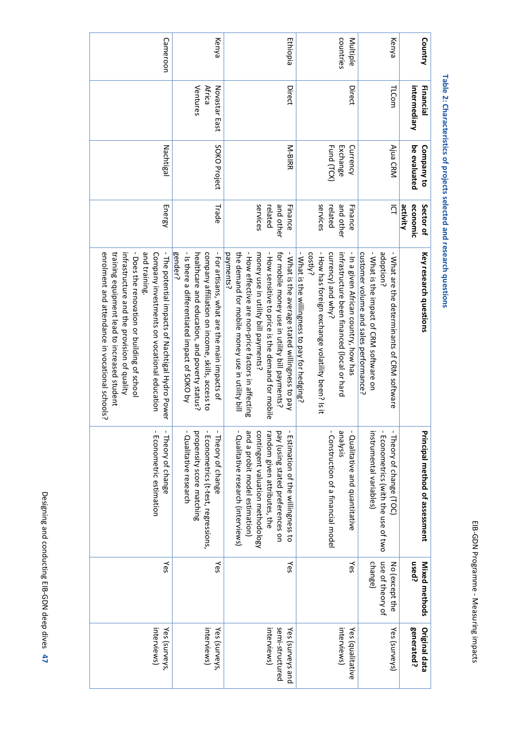| Ó |                      |
|---|----------------------|
|   | .<br>}<br>}          |
|   |                      |
|   |                      |
|   | :<br>;<br>;          |
|   |                      |
|   | ı                    |
|   |                      |
|   | $\ddot{\dot{}}$<br>١ |
|   | ļ                    |
|   | J                    |
|   |                      |
|   |                      |
|   |                      |
|   |                      |
|   |                      |
|   | l                    |
|   | ì                    |
|   |                      |
|   | Ï<br>١               |

Table 2: Characteristics of projects selected and research questions **2: Characteristics of projects selected and research questions**

| Cameroon                                                                                                                                                                                                                                                                                                          | Kenya                                                                                                                                                                                                         | Ethiopia                                                                                                                                                                                                                                                                                                            | countries<br>Multiple                                                                                                                                                                                                       | Kenya                                                                                                                                         | Country                            |
|-------------------------------------------------------------------------------------------------------------------------------------------------------------------------------------------------------------------------------------------------------------------------------------------------------------------|---------------------------------------------------------------------------------------------------------------------------------------------------------------------------------------------------------------|---------------------------------------------------------------------------------------------------------------------------------------------------------------------------------------------------------------------------------------------------------------------------------------------------------------------|-----------------------------------------------------------------------------------------------------------------------------------------------------------------------------------------------------------------------------|-----------------------------------------------------------------------------------------------------------------------------------------------|------------------------------------|
|                                                                                                                                                                                                                                                                                                                   | Ventures<br><b>Africa</b><br>Novastar East                                                                                                                                                                    | Direct                                                                                                                                                                                                                                                                                                              | Direct                                                                                                                                                                                                                      | TLCom                                                                                                                                         | Financial<br>intermediary          |
| Nachtigal                                                                                                                                                                                                                                                                                                         | SOKO Project                                                                                                                                                                                                  | N-BIRR                                                                                                                                                                                                                                                                                                              | Exchange<br>Fund (TCX)<br>Currency                                                                                                                                                                                          | Ajua CRM                                                                                                                                      | be evaluated<br>Company to         |
| Energy                                                                                                                                                                                                                                                                                                            | Trade                                                                                                                                                                                                         | services<br>and other<br>Finance<br>related                                                                                                                                                                                                                                                                         | services<br>and other<br>related<br>Finance                                                                                                                                                                                 | $\bar{\Omega}$                                                                                                                                | activity<br>economic<br>Sector of  |
| and training.<br>- The potential impacts of Nachtigal Hydro Power<br>enrolment and attendance in vocational schools?<br>training equipment lead to increased student<br>- Does the renovation or building of school<br>Company investments on vocational education<br>infrastructure and the provision of quality | - Is there a differentiated impact of SOKO by<br>- For artisans, what are the main impacts of<br>gender?<br>company affiliation on income, skills, access to<br>healthcare and education, and poverty status? | - How effective are nor-price factors in affecting<br>the demand for mobile money use in utility bill<br>- What is the average stated willingness to pay<br>- How sensitive to price is the demand for mobile<br>payments?<br>for mobile money use in utility bill payments?<br>money use in utility bill payments? | - How has foreign exchange volatility been? Is it<br>- What is the willingness to pay for hedging?<br>costly?<br>- In a given African country, how has<br>currency) and why?<br>infrastructure been financed (local or hard | - What is the impact of CRM software on<br>adoption?<br>customer volume and sales performance?<br>- What are the determinants of CRM software | Key research questions             |
| $\mathbf I$<br>$\mathbf I$<br>Econometric estimation<br>Theory of change                                                                                                                                                                                                                                          | propensity score matching<br>Econometrics (t-test, regressions,<br>Qualitative research<br>Theory of change                                                                                                   | - Qualitative research (interviews)<br>and a probit model estimation)<br>contingent valuation methodology<br>pay (using stated preferences on<br>random given attributes, the<br>Estimation of the willingness to                                                                                                   | - Construction of a financial model<br>- Qualitative and quantitative<br>sisheue                                                                                                                                            | instrumental variables)<br>Econometrics (with the use of two<br>Theory of change (TOC)                                                        | Principal method of assessment     |
| Yes                                                                                                                                                                                                                                                                                                               | Yes                                                                                                                                                                                                           | Yes                                                                                                                                                                                                                                                                                                                 | Yes                                                                                                                                                                                                                         | change)<br>use of theory of<br>No (except the                                                                                                 | used?<br>Mixed methods             |
| interviews)<br>Yes (surveys,                                                                                                                                                                                                                                                                                      | interviews)<br>Yes (surveys,                                                                                                                                                                                  | semi-structured<br>interviews)<br>Yes (surveys and                                                                                                                                                                                                                                                                  | interviews)<br>Yes (qualitative                                                                                                                                                                                             | Yes (surveys)                                                                                                                                 | generated?<br><b>Original data</b> |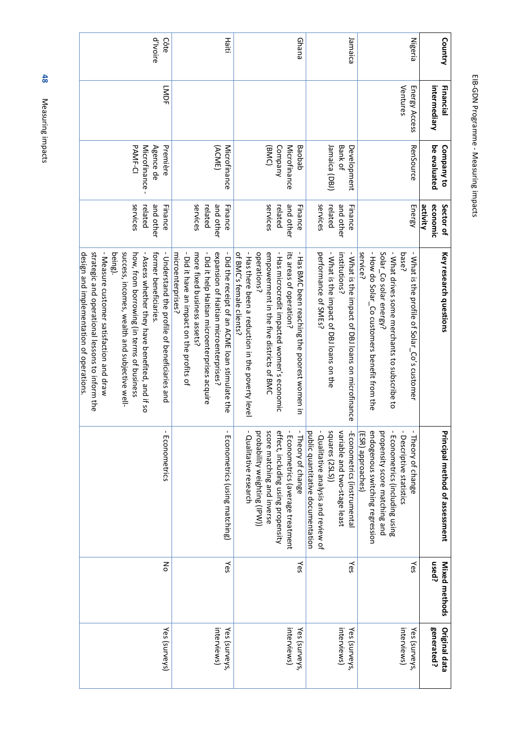| i<br>ľ  |
|---------|
|         |
|         |
|         |
|         |
| S       |
| ļ       |
| ó<br>۱  |
|         |
|         |
| : :     |
|         |
|         |
|         |
| ı       |
|         |
|         |
|         |
|         |
|         |
|         |
| o       |
|         |
|         |
| ֡֡֡֡֡֡֡ |
|         |
| i       |

| Country        | intermediary<br>Financial | be evaluated<br>Company to | economic<br>Sector of<br>activity | Key research questions                                                                    | Principal method of assessment                                            | used?<br>Mixed methods | generated?<br><b>Original data</b> |
|----------------|---------------------------|----------------------------|-----------------------------------|-------------------------------------------------------------------------------------------|---------------------------------------------------------------------------|------------------------|------------------------------------|
| <b>Nigeria</b> | Ventures<br>Energy Access | RenSource                  | Energy                            | - What is the profile of Solar_Co's customer<br>base?                                     | $\mathbf I$<br>- Theory of change<br>Descriptive statistics               | Υes                    | interviews)<br>Yes (surveys,       |
|                |                           |                            |                                   | Solar_Co solar energy?<br>- What drives some merchants to subscribe to                    | propensity score matching and<br>Econometrics (including using            |                        |                                    |
|                |                           |                            |                                   | - How do Solar_Co customers benefit from the<br>service?                                  | endogenous switching regression<br>ESR) approaches)                       |                        |                                    |
| Jamaica        |                           | Development                | Finance                           | - What is the impact of DBJ loans on microfinance                                         | -Econometrics (instrumental                                               | Yes                    | Yes (surveys,                      |
|                |                           | Bank of                    | and other                         | institutions?                                                                             | variable and two-stage least                                              |                        | interviews)                        |
|                |                           | Jamaica (DBJ)              | related                           | - What is the impact of DBJ loans on the                                                  | squares (2SLS))                                                           |                        |                                    |
|                |                           |                            | services                          | performance of SMEs?                                                                      | - Qualitative analysis and review of<br>public quantitative documentation |                        |                                    |
| Ghana          |                           | Baobab                     | Finance                           | - Has BMC been reaching the poorest women in                                              | - Theory of change                                                        | γes                    | Yes (surveys,                      |
|                |                           | Microfinance               | and other                         | its areas of operation?                                                                   | - Econometrics (average treatment                                         |                        | interviews)                        |
|                |                           | Company                    | related                           | - Has microcredit impacted women's economic                                               | effect, including using propensity                                        |                        |                                    |
|                |                           | (BMC)                      | services                          | operations?<br>empowerment in the five districts of BMC                                   | score matching and inverse<br>probability weighting (IPV))                |                        |                                    |
|                |                           |                            |                                   | - Has there been a reduction in the poverty level<br>of BNC's female clients?             | Qualitative research                                                      |                        |                                    |
| Haiti          |                           | (ACME)<br>Microfinance     | and other<br>Finance              | - Did the receipt of an ACNE loan strimmete the<br>expansion of Haitian microenterprises? | $\mathbf I$<br>Econometrics (using matching)                              | γes                    | interviews)<br>Yes (surveys,       |
|                |                           |                            | related                           | - Did it help Haitian microenterprises acquire                                            |                                                                           |                        |                                    |
|                |                           |                            | services                          | more fixed business assets?                                                               |                                                                           |                        |                                    |
|                |                           |                            |                                   | - Did it have an impact on the profits of<br>microenterprises?                            |                                                                           |                        |                                    |
| Côte           | <b>LMDF</b>               | Première                   | Finance                           | - Understand the profile of beneficiaries and                                             | J.<br>Econometrics                                                        | 종                      | Yes (surveys)                      |
| d'Ivoire       |                           | Agence de                  | and other                         | former beneficiaries                                                                      |                                                                           |                        |                                    |
|                |                           | Microfinance               | related                           | - Assess whether they have benefited, and if so                                           |                                                                           |                        |                                    |
|                |                           | <b>PAMF-CI</b>             | services                          | how, from borrowing (in terms of business                                                 |                                                                           |                        |                                    |
|                |                           |                            |                                   | success, incomes, wealth and subjective well-<br>being).                                  |                                                                           |                        |                                    |
|                |                           |                            |                                   | - Measure customer satisfaction and draw                                                  |                                                                           |                        |                                    |
|                |                           |                            |                                   | strategic and operational lessons to inform the                                           |                                                                           |                        |                                    |
|                |                           |                            |                                   | design and implementation of operations.                                                  |                                                                           |                        |                                    |

**48** Measuring impacts Measuring impacts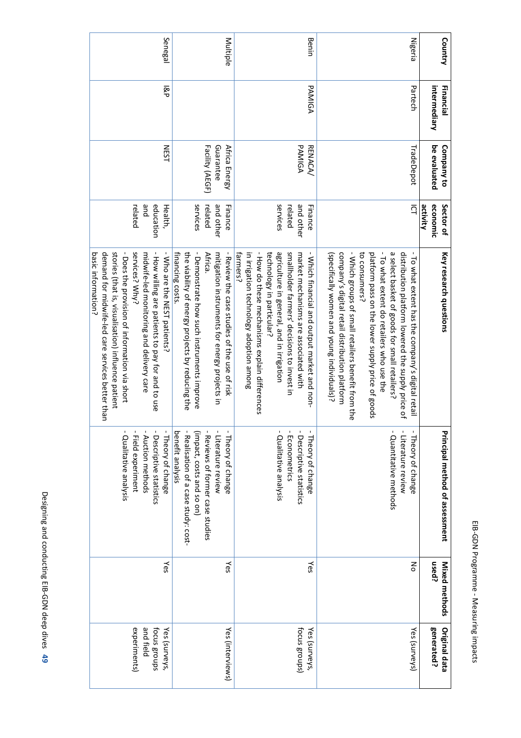| F                |
|------------------|
|                  |
|                  |
|                  |
|                  |
|                  |
| Í                |
| )<br>;<br>;<br>; |
|                  |
|                  |
|                  |
|                  |
|                  |
|                  |
| ı                |
|                  |
|                  |
|                  |
|                  |
|                  |
|                  |
| j                |
|                  |
|                  |
|                  |
| i                |
|                  |
| š                |

| Country        | Financial    | Company to                                    | Sector of                                   | Key research questions                                                                                                                                                                                                                                                                                                                                                                                                           | Principal method of assessment                                                                                                                                     | Mixed methods | <b>Original data</b>                                       |
|----------------|--------------|-----------------------------------------------|---------------------------------------------|----------------------------------------------------------------------------------------------------------------------------------------------------------------------------------------------------------------------------------------------------------------------------------------------------------------------------------------------------------------------------------------------------------------------------------|--------------------------------------------------------------------------------------------------------------------------------------------------------------------|---------------|------------------------------------------------------------|
|                | intermediary | be evaluated                                  | activity<br>economic                        |                                                                                                                                                                                                                                                                                                                                                                                                                                  |                                                                                                                                                                    | <b>used?</b>  | generated?                                                 |
| <b>Nigeria</b> | Partech      | TradeDepot                                    | $\overline{Q}$                              | a select basket of goods for small retailers?<br>- To what extent do retailers who use the<br>distribution platform lowered the supply price of<br>- To what extent has the company's digital retail<br>company's digital retail distribution platform<br>- Which groups of small retailers benefit from the<br>to consumers?<br>platform pass on the lower supply price of goods<br>(specifically women and young individuals)? | $\mathbf{I}$<br>- Quantitative methods<br>$\blacksquare$<br>Literature review<br>Theory of change                                                                  | 종             | Yes (surveys)                                              |
| Benin          | PAMIGA       | PAMIGA<br><b>RENACA/</b>                      | services<br>and other<br>Finance<br>related | - How do these mechanisms explain differences<br>agriculture in general, and in irrigation<br>smallholder farmers' decisions to invest in<br>farmers?<br>technology in particular?<br>in irrigation technology adoption among<br>market mechanisms are associated with<br>Wrich financial and output market and non-                                                                                                             | - Qualitative analysis<br>- Econometrics<br>- Descriptive statistics<br>- Theory of change                                                                         | ≿es           | focus groups)<br>Yes (surveys,                             |
| Multiple       |              | Guarantee<br>Facility (AEGF)<br>Africa Energy | services<br>and other<br>Finance<br>related | the viability of energy projects by reducing the<br>- Demonstrate how such instruments improve<br>financing costs<br>Africa.<br>mitigation instruments for energy projects in<br>Review the case studies of the use of risk                                                                                                                                                                                                      | benefit analysis<br>(impact, costs and so on)<br>- Reviews of former case studies<br>- Literature review<br>Realisation of a case study: cost-<br>Theory of change | Yes           | Yes (interviews)                                           |
| Senegal        | ସି           | <b>NEST</b>                                   | pue<br>education<br>related<br>Health,      | demand for midwife-led care services better than<br>stories (that is, visualisation) influence patient<br>- Does the provision of information via short<br>services? Why?<br>- How willing are patients to pay for and to use<br>basic information?<br>midwife-led monitoring and delivery care<br>Who are the NEST patients?                                                                                                    | - Descriptive statistics<br>$\mathbf{I}$<br>- Theory of change<br>- Field experiment<br>Qualitative analysis<br>Auction methods                                    | Υes           | experiments)<br>and field<br>focus groups<br>Yes (surveys, |

Designing and conducting EIB-GDN deep dives Designing and conducting EIB-GDN deep dives 49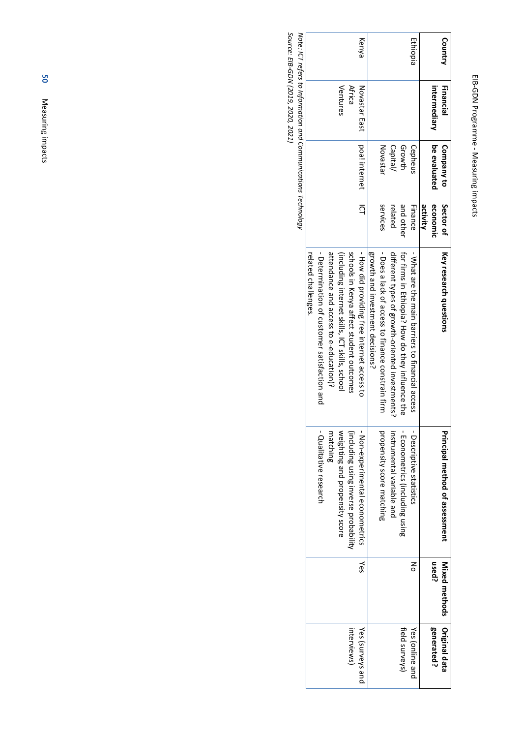# EIB-GDN Programme EIB-GDN Programme - Measuring impacts Measuring impacts

| Country  | Financial                                                     | Company to      | Sector of      | Key research questions                              | Principal method of assessment       | <b>Nixed methods</b> | Original data    |
|----------|---------------------------------------------------------------|-----------------|----------------|-----------------------------------------------------|--------------------------------------|----------------------|------------------|
|          | intermediary                                                  | be evaluated    | economic       |                                                     |                                      | used?                | generated?       |
|          |                                                               |                 | activity       |                                                     |                                      |                      |                  |
| Ethiopia |                                                               | Cepheus         | Finance        | - Sylat are the main parriers to financial access - | - Descriptive statistics             | š                    | Yes (online and  |
|          |                                                               | Growth          | and other      | for firms in Ethiopia', How do they influence the   | - Econometrics (including using      |                      | field surveys)   |
|          |                                                               | Capital/        | related        | different types of growth-oriented investments?     | instrumental variable and            |                      |                  |
|          |                                                               | <b>Novastar</b> | services       | - Does a lack of access to finance constrain firm   | propensity score matching            |                      |                  |
|          |                                                               |                 |                | growth and invextment decisions?                    |                                      |                      |                  |
| Kenya    | Novastar East                                                 | poa! internet   | $\overline{a}$ | - How did providing free internet access to         | - Non-experimental econometrics      | γes                  | Yes (surveys and |
|          | <b>Africa</b>                                                 |                 |                | schools in Kenya affect student outcomes            | (including using inverse probability |                      | interviews)      |
|          | Ventures                                                      |                 |                | (including internet skills) ICT skills) school      | weighting and propensity score       |                      |                  |
|          |                                                               |                 |                | attendance and access to e-education)?              | matching                             |                      |                  |
|          |                                                               |                 |                | - Determination of customer satisfaction and        | - Qualitative research               |                      |                  |
|          |                                                               |                 |                | related challenges.                                 |                                      |                      |                  |
|          | Note: ICT refers to Information and Communications Technology |                 |                |                                                     |                                      |                      |                  |

Source: EIB-GDN (2019, 2020, 2021) *Source: EIB-GDN (2019, 2020, 2021)*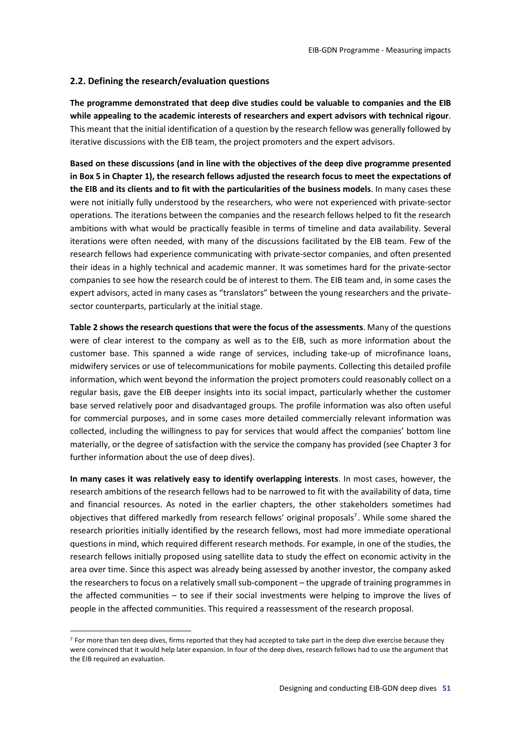#### **2.2. Defining the research/evaluation questions**

**The programme demonstrated that deep dive studies could be valuable to companies and the EIB while appealing to the academic interests of researchers and expert advisors with technical rigour**. This meant that the initial identification of a question by the research fellow was generally followed by iterative discussions with the EIB team, the project promoters and the expert advisors.

**Based on these discussions (and in line with the objectives of the deep dive programme presented in Box 5 in Chapter 1), the research fellows adjusted the research focus to meet the expectations of the EIB and its clients and to fit with the particularities of the business models**. In many cases these were not initially fully understood by the researchers, who were not experienced with private-sector operations. The iterations between the companies and the research fellows helped to fit the research ambitions with what would be practically feasible in terms of timeline and data availability. Several iterations were often needed, with many of the discussions facilitated by the EIB team. Few of the research fellows had experience communicating with private-sector companies, and often presented their ideas in a highly technical and academic manner. It was sometimes hard for the private-sector companies to see how the research could be of interest to them. The EIB team and, in some cases the expert advisors, acted in many cases as "translators" between the young researchers and the privatesector counterparts, particularly at the initial stage.

**Table 2 shows the research questions that were the focus of the assessments**. Many of the questions were of clear interest to the company as well as to the EIB, such as more information about the customer base. This spanned a wide range of services, including take-up of microfinance loans, midwifery services or use of telecommunications for mobile payments. Collecting this detailed profile information, which went beyond the information the project promoters could reasonably collect on a regular basis, gave the EIB deeper insights into its social impact, particularly whether the customer base served relatively poor and disadvantaged groups. The profile information was also often useful for commercial purposes, and in some cases more detailed commercially relevant information was collected, including the willingness to pay for services that would affect the companies' bottom line materially, or the degree of satisfaction with the service the company has provided (see Chapter 3 for further information about the use of deep dives).

**In many cases it was relatively easy to identify overlapping interests**. In most cases, however, the research ambitions of the research fellows had to be narrowed to fit with the availability of data, time and financial resources. As noted in the earlier chapters, the other stakeholders sometimes had objectives that differed markedly from research fellows' original proposals<sup>7</sup>. While some shared the research priorities initially identified by the research fellows, most had more immediate operational questions in mind, which required different research methods. For example, in one of the studies, the research fellows initially proposed using satellite data to study the effect on economic activity in the area over time. Since this aspect was already being assessed by another investor, the company asked the researchers to focus on a relatively small sub-component – the upgrade of training programmes in the affected communities – to see if their social investments were helping to improve the lives of people in the affected communities. This required a reassessment of the research proposal.

 $7$  For more than ten deep dives, firms reported that they had accepted to take part in the deep dive exercise because they were convinced that it would help later expansion. In four of the deep dives, research fellows had to use the argument that the EIB required an evaluation.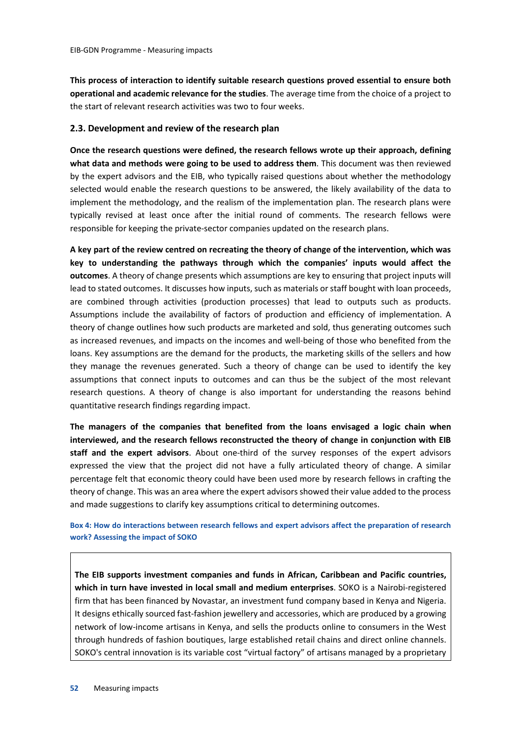**This process of interaction to identify suitable research questions proved essential to ensure both operational and academic relevance for the studies**. The average time from the choice of a project to the start of relevant research activities was two to four weeks.

#### **2.3. Development and review of the research plan**

**Once the research questions were defined, the research fellows wrote up their approach, defining what data and methods were going to be used to address them**. This document was then reviewed by the expert advisors and the EIB, who typically raised questions about whether the methodology selected would enable the research questions to be answered, the likely availability of the data to implement the methodology, and the realism of the implementation plan. The research plans were typically revised at least once after the initial round of comments. The research fellows were responsible for keeping the private-sector companies updated on the research plans.

**A key part of the review centred on recreating the theory of change of the intervention, which was key to understanding the pathways through which the companies' inputs would affect the outcomes**. A theory of change presents which assumptions are key to ensuring that project inputs will lead to stated outcomes. It discusses how inputs, such as materials or staff bought with loan proceeds, are combined through activities (production processes) that lead to outputs such as products. Assumptions include the availability of factors of production and efficiency of implementation. A theory of change outlines how such products are marketed and sold, thus generating outcomes such as increased revenues, and impacts on the incomes and well-being of those who benefited from the loans. Key assumptions are the demand for the products, the marketing skills of the sellers and how they manage the revenues generated. Such a theory of change can be used to identify the key assumptions that connect inputs to outcomes and can thus be the subject of the most relevant research questions. A theory of change is also important for understanding the reasons behind quantitative research findings regarding impact.

**The managers of the companies that benefited from the loans envisaged a logic chain when interviewed, and the research fellows reconstructed the theory of change in conjunction with EIB staff and the expert advisors**. About one-third of the survey responses of the expert advisors expressed the view that the project did not have a fully articulated theory of change. A similar percentage felt that economic theory could have been used more by research fellows in crafting the theory of change. This was an area where the expert advisors showed their value added to the process and made suggestions to clarify key assumptions critical to determining outcomes.

**Box 4: How do interactions between research fellows and expert advisors affect the preparation of research work? Assessing the impact of SOKO**

**The EIB supports investment companies and funds in African, Caribbean and Pacific countries, which in turn have invested in local small and medium enterprises**. SOKO is a Nairobi-registered firm that has been financed by Novastar, an investment fund company based in Kenya and Nigeria. It designs ethically sourced fast-fashion jewellery and accessories, which are produced by a growing network of low-income artisans in Kenya, and sells the products online to consumers in the West through hundreds of fashion boutiques, large established retail chains and direct online channels. SOKO's central innovation is its variable cost "virtual factory" of artisans managed by a proprietary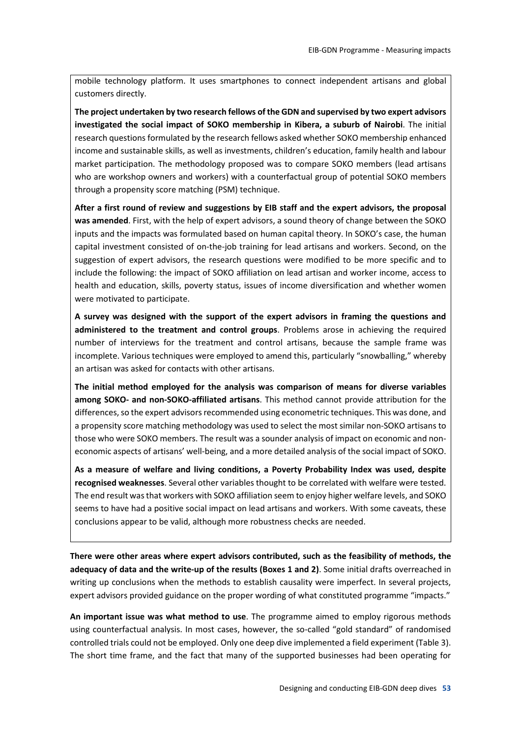mobile technology platform. It uses smartphones to connect independent artisans and global customers directly.

**The project undertaken by two research fellows of the GDN and supervised by two expert advisors investigated the social impact of SOKO membership in Kibera, a suburb of Nairobi**. The initial research questions formulated by the research fellows asked whether SOKO membership enhanced income and sustainable skills, as well as investments, children's education, family health and labour market participation. The methodology proposed was to compare SOKO members (lead artisans who are workshop owners and workers) with a counterfactual group of potential SOKO members through a propensity score matching (PSM) technique.

**After a first round of review and suggestions by EIB staff and the expert advisors, the proposal was amended**. First, with the help of expert advisors, a sound theory of change between the SOKO inputs and the impacts was formulated based on human capital theory. In SOKO's case, the human capital investment consisted of on-the-job training for lead artisans and workers. Second, on the suggestion of expert advisors, the research questions were modified to be more specific and to include the following: the impact of SOKO affiliation on lead artisan and worker income, access to health and education, skills, poverty status, issues of income diversification and whether women were motivated to participate.

**A survey was designed with the support of the expert advisors in framing the questions and administered to the treatment and control groups**. Problems arose in achieving the required number of interviews for the treatment and control artisans, because the sample frame was incomplete. Various techniques were employed to amend this, particularly "snowballing," whereby an artisan was asked for contacts with other artisans.

**The initial method employed for the analysis was comparison of means for diverse variables among SOKO- and non-SOKO-affiliated artisans**. This method cannot provide attribution for the differences, so the expert advisors recommended using econometric techniques. This was done, and a propensity score matching methodology was used to select the most similar non-SOKO artisans to those who were SOKO members. The result was a sounder analysis of impact on economic and noneconomic aspects of artisans' well-being, and a more detailed analysis of the social impact of SOKO.

**As a measure of welfare and living conditions, a Poverty Probability Index was used, despite recognised weaknesses**. Several other variables thought to be correlated with welfare were tested. The end result was that workers with SOKO affiliation seem to enjoy higher welfare levels, and SOKO seems to have had a positive social impact on lead artisans and workers. With some caveats, these conclusions appear to be valid, although more robustness checks are needed.

**There were other areas where expert advisors contributed, such as the feasibility of methods, the adequacy of data and the write-up of the results (Boxes 1 and 2)**. Some initial drafts overreached in writing up conclusions when the methods to establish causality were imperfect. In several projects, expert advisors provided guidance on the proper wording of what constituted programme "impacts."

**An important issue was what method to use**. The programme aimed to employ rigorous methods using counterfactual analysis. In most cases, however, the so-called "gold standard" of randomised controlled trials could not be employed. Only one deep dive implemented a field experiment (Table 3). The short time frame, and the fact that many of the supported businesses had been operating for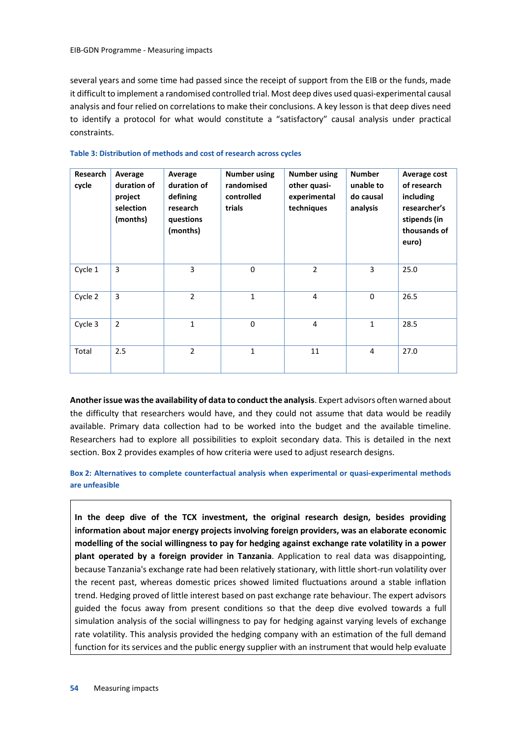several years and some time had passed since the receipt of support from the EIB or the funds, made it difficult to implement a randomised controlled trial. Most deep dives used quasi-experimental causal analysis and four relied on correlations to make their conclusions. A key lesson is that deep dives need to identify a protocol for what would constitute a "satisfactory" causal analysis under practical constraints.

| Research<br>cycle | Average<br>duration of<br>project<br>selection<br>(months) | Average<br>duration of<br>defining<br>research<br>questions<br>(months) | <b>Number using</b><br>randomised<br>controlled<br>trials | <b>Number using</b><br>other quasi-<br>experimental<br>techniques | <b>Number</b><br>unable to<br>do causal<br>analysis | Average cost<br>of research<br>including<br>researcher's<br>stipends (in<br>thousands of<br>euro) |
|-------------------|------------------------------------------------------------|-------------------------------------------------------------------------|-----------------------------------------------------------|-------------------------------------------------------------------|-----------------------------------------------------|---------------------------------------------------------------------------------------------------|
| Cycle 1           | 3                                                          | 3                                                                       | $\mathbf 0$                                               | $\overline{2}$                                                    | 3                                                   | 25.0                                                                                              |
| Cycle 2           | 3                                                          | $\overline{2}$                                                          | $\mathbf{1}$                                              | 4                                                                 | 0                                                   | 26.5                                                                                              |
| Cycle 3           | $\overline{2}$                                             | $\mathbf{1}$                                                            | $\mathbf 0$                                               | 4                                                                 | $\mathbf{1}$                                        | 28.5                                                                                              |
| Total             | 2.5                                                        | $\overline{2}$                                                          | $\mathbf{1}$                                              | 11                                                                | 4                                                   | 27.0                                                                                              |

#### **Table 3: Distribution of methods and cost of research across cycles**

**Another issue was the availability of data to conduct the analysis**. Expert advisors often warned about the difficulty that researchers would have, and they could not assume that data would be readily available. Primary data collection had to be worked into the budget and the available timeline. Researchers had to explore all possibilities to exploit secondary data. This is detailed in the next section. Box 2 provides examples of how criteria were used to adjust research designs.

**Box 2: Alternatives to complete counterfactual analysis when experimental or quasi-experimental methods are unfeasible**

**In the deep dive of the TCX investment, the original research design, besides providing information about major energy projects involving foreign providers, was an elaborate economic modelling of the social willingness to pay for hedging against exchange rate volatility in a power plant operated by a foreign provider in Tanzania**. Application to real data was disappointing, because Tanzania's exchange rate had been relatively stationary, with little short-run volatility over the recent past, whereas domestic prices showed limited fluctuations around a stable inflation trend. Hedging proved of little interest based on past exchange rate behaviour. The expert advisors guided the focus away from present conditions so that the deep dive evolved towards a full simulation analysis of the social willingness to pay for hedging against varying levels of exchange rate volatility. This analysis provided the hedging company with an estimation of the full demand function for its services and the public energy supplier with an instrument that would help evaluate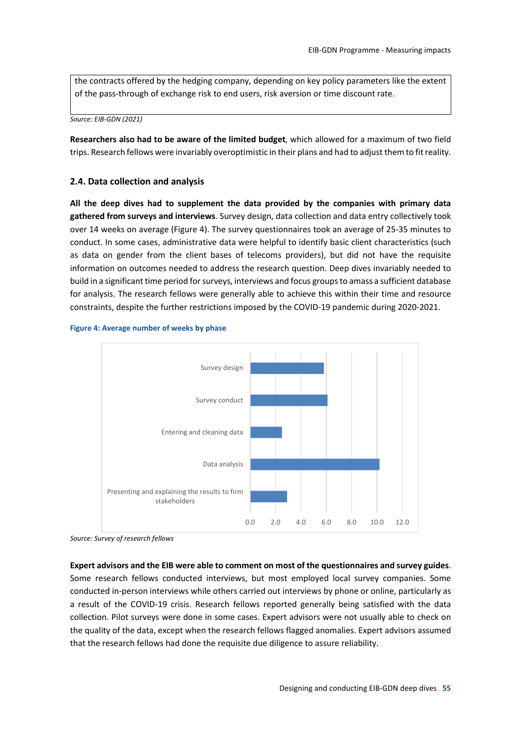the contracts offered by the hedging company, depending on key policy parameters like the extent of the pass-through of exchange risk to end users, risk aversion or time discount rate.

*Source: EIB-GDN (2021)*

**Researchers also had to be aware of the limited budget**, which allowed for a maximum of two field trips. Research fellows were invariably overoptimistic in their plans and had to adjust them to fit reality.

#### **2.4. Data collection and analysis**

**All the deep dives had to supplement the data provided by the companies with primary data gathered from surveys and interviews**. Survey design, data collection and data entry collectively took over 14 weeks on average (Figure 4). The survey questionnaires took an average of 25-35 minutes to conduct. In some cases, administrative data were helpful to identify basic client characteristics (such as data on gender from the client bases of telecoms providers), but did not have the requisite information on outcomes needed to address the research question. Deep dives invariably needed to build in a significant time period for surveys, interviews and focus groups to amass a sufficient database for analysis. The research fellows were generally able to achieve this within their time and resource constraints, despite the further restrictions imposed by the COVID-19 pandemic during 2020-2021.





*Source: Survey of research fellows*

**Expert advisors and the EIB were able to comment on most of the questionnaires and survey guides**. Some research fellows conducted interviews, but most employed local survey companies. Some conducted in-person interviews while others carried out interviews by phone or online, particularly as a result of the COVID-19 crisis. Research fellows reported generally being satisfied with the data collection. Pilot surveys were done in some cases. Expert advisors were not usually able to check on the quality of the data, except when the research fellows flagged anomalies. Expert advisors assumed that the research fellows had done the requisite due diligence to assure reliability.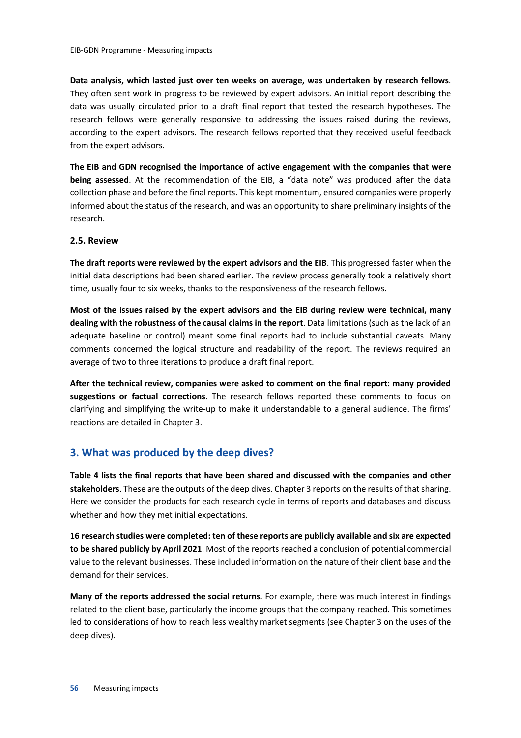**Data analysis, which lasted just over ten weeks on average, was undertaken by research fellows**. They often sent work in progress to be reviewed by expert advisors. An initial report describing the data was usually circulated prior to a draft final report that tested the research hypotheses. The research fellows were generally responsive to addressing the issues raised during the reviews, according to the expert advisors. The research fellows reported that they received useful feedback from the expert advisors.

**The EIB and GDN recognised the importance of active engagement with the companies that were being assessed**. At the recommendation of the EIB, a "data note" was produced after the data collection phase and before the final reports. This kept momentum, ensured companies were properly informed about the status of the research, and was an opportunity to share preliminary insights of the research.

#### **2.5. Review**

**The draft reports were reviewed by the expert advisors and the EIB**. This progressed faster when the initial data descriptions had been shared earlier. The review process generally took a relatively short time, usually four to six weeks, thanks to the responsiveness of the research fellows.

**Most of the issues raised by the expert advisors and the EIB during review were technical, many dealing with the robustness of the causal claims in the report**. Data limitations (such as the lack of an adequate baseline or control) meant some final reports had to include substantial caveats. Many comments concerned the logical structure and readability of the report. The reviews required an average of two to three iterations to produce a draft final report.

**After the technical review, companies were asked to comment on the final report: many provided suggestions or factual corrections**. The research fellows reported these comments to focus on clarifying and simplifying the write-up to make it understandable to a general audience. The firms' reactions are detailed in Chapter 3.

#### **3. What was produced by the deep dives?**

**Table 4 lists the final reports that have been shared and discussed with the companies and other stakeholders**. These are the outputs of the deep dives. Chapter 3 reports on the results of that sharing. Here we consider the products for each research cycle in terms of reports and databases and discuss whether and how they met initial expectations.

**16 research studies were completed: ten of these reports are publicly available and six are expected to be shared publicly by April 2021**. Most of the reports reached a conclusion of potential commercial value to the relevant businesses. These included information on the nature of their client base and the demand for their services.

**Many of the reports addressed the social returns**. For example, there was much interest in findings related to the client base, particularly the income groups that the company reached. This sometimes led to considerations of how to reach less wealthy market segments (see Chapter 3 on the uses of the deep dives).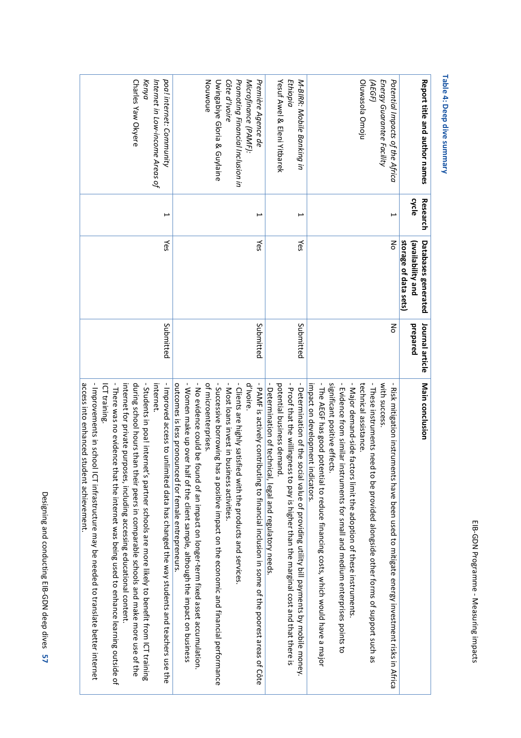## **Table 4: Deep dive summary 4: Deep dive summary**

| Report title and author names                                                                                                              | cycle<br>Research | storage of data sets)<br><b>Databases generated</b><br>(availability and | prepared<br>Journal article | Main conclusion                                                                                                                                                                                                                                                                                                                                                                                                                                                                                                                                                                                                                                                                                                                                                                                                                      |
|--------------------------------------------------------------------------------------------------------------------------------------------|-------------------|--------------------------------------------------------------------------|-----------------------------|--------------------------------------------------------------------------------------------------------------------------------------------------------------------------------------------------------------------------------------------------------------------------------------------------------------------------------------------------------------------------------------------------------------------------------------------------------------------------------------------------------------------------------------------------------------------------------------------------------------------------------------------------------------------------------------------------------------------------------------------------------------------------------------------------------------------------------------|
| Energy Guarantee Facility<br>Potential Impacts of the Africa<br><b>AEGF)</b>                                                               | ⊢                 | š                                                                        | 종                           | - These instruments need to be provided alongside other forms of support such as<br>- Risk mitigation instrum<br>with success.<br>ents have been used to mitigate energy investment risks in Africa                                                                                                                                                                                                                                                                                                                                                                                                                                                                                                                                                                                                                                  |
| Diuwasola Omoju                                                                                                                            |                   |                                                                          |                             | - The AEGF has good potential to reduce financing costs, which would have a major<br>significant positive effects.<br>- Evidence from similar instruments for small and medium enterprises points to<br>- Major demand-side factors limit the adoption of these instruments.<br>technical assistance.<br>impact on development indicators                                                                                                                                                                                                                                                                                                                                                                                                                                                                                            |
| Yesuf Awel & Eleni Yitbarek<br>Ethiopia<br>M-BIRR: Mobile Banking in                                                                       | صر                | Yes                                                                      | Submitted                   | -Proof that the willingness to pay is higher than the marginal cost and that there is<br>- Determination of technical, legal and regulatory needs<br>potential business demand.<br>- Determination of the social value of providing utility bill payments by mobile money.                                                                                                                                                                                                                                                                                                                                                                                                                                                                                                                                                           |
| Nouwoue<br>Promoting Financial Inclusion in<br>Première Agence de<br>Uwingabiye Gloria & Guylaine<br>Côte d'Ivoire<br>Microfinance (PAMF): | ⊢                 | Yes                                                                      | Submitted                   | - PAMF is actively contri<br>- Successive borrowing has a positive impact on the economic and financial performance<br>- Most loans invest in business activities.<br>- Women make up over<br>- No evidence could be found of an impact on longer-term fixed asset accumulation.<br>- Clients are highly satisfied with the products and services<br>d'Ivoire.<br>of microenterprises.<br>outcomes is less pronounced for female entrepreneurs.<br>buting to financial inclusion in some of the poorest areas of Côte<br>half of the client sample, although the impact on business                                                                                                                                                                                                                                                  |
| poa! internet: Community<br>Charles Yaw Okyere<br>Kenya<br>Internet in Low-income Areas of                                                 | ۳                 | Yes                                                                      | Submitted                   | - Improved access to unlimited data has changed the way students and teachers use the<br>access into enhanced student achievement.<br>- $\frac{1}{1}$ - $\frac{1}{1}$ and $\frac{1}{1}$ and $\frac{1}{2}$ and $\frac{1}{2}$ and $\frac{1}{2}$ and $\frac{1}{2}$ and $\frac{1}{2}$ and $\frac{1}{2}$ and $\frac{1}{2}$ and $\frac{1}{2}$ and $\frac{1}{2}$ and $\frac{1}{2}$ and $\frac{1}{2}$ and $\frac{1}{2}$ and $\frac{1}{2}$ a<br>- There was no evidence<br>- Strugbrit in pool, intermet's partners schools are more likely to penemit from ICL tranining.<br>internet for private purposes, including accessing educational content.<br>during school hours than their peers in comparable schools and make more use of the<br>internet.<br>ICT training.<br>that the internet was being used to enhance learning outside of |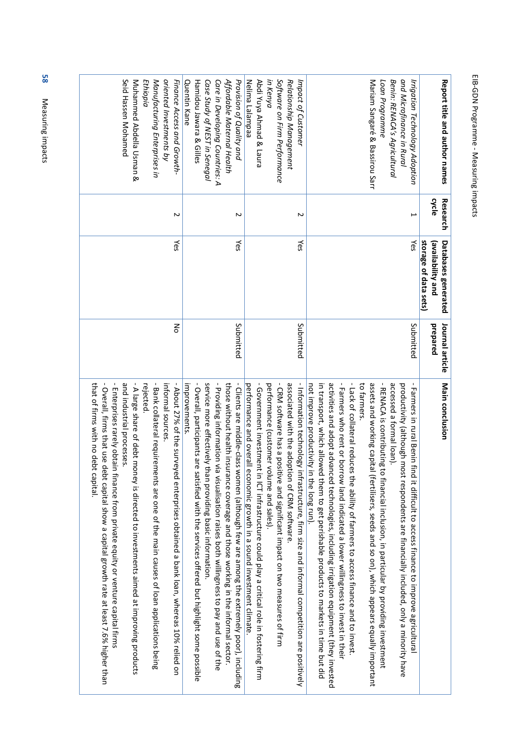| - Overall, participants a<br>service more effectivel<br>- Providing information                                                                                                                                                                                                                                                                                                                                                                                                                                                                                                      |                                                                                                                                                                                                                                                                                                                                                                                                                                                                      |
|--------------------------------------------------------------------------------------------------------------------------------------------------------------------------------------------------------------------------------------------------------------------------------------------------------------------------------------------------------------------------------------------------------------------------------------------------------------------------------------------------------------------------------------------------------------------------------------|----------------------------------------------------------------------------------------------------------------------------------------------------------------------------------------------------------------------------------------------------------------------------------------------------------------------------------------------------------------------------------------------------------------------------------------------------------------------|
| - CRM software has a positive and significant impact on two measures of firm<br>- Information technology infrastructure, firm size and informal competition are positively<br>-Government investment in ICT infrastructure could play a critical role in fostering firm<br>associated with the adoption of CRM software<br>performance (customer volume and sales).<br>performance and overall economic growth in a sound investment climate<br>not improve productivity in the long run).<br>in transport, which allowed them to get perishable products to markets in time but did |                                                                                                                                                                                                                                                                                                                                                                                                                                                                      |
|                                                                                                                                                                                                                                                                                                                                                                                                                                                                                                                                                                                      | - About 27% of the surveyed enterprises obtained a bank loan, whereas 10% relied on<br>those without health insurance coverage and those working in the informal sector.<br>- Clients are middle-class women (although few are among the extremely poor), including<br>improvements.<br>y than providing basic information.<br>via visualisation raises both willingness to pay and use of the<br>re satisfied with the services offered but highlight some possible |

EIB-GDN Programme

EIB-GDN Programme - Measuring impacts

Measuring impacts

58 Measuring impacts Measuring impacts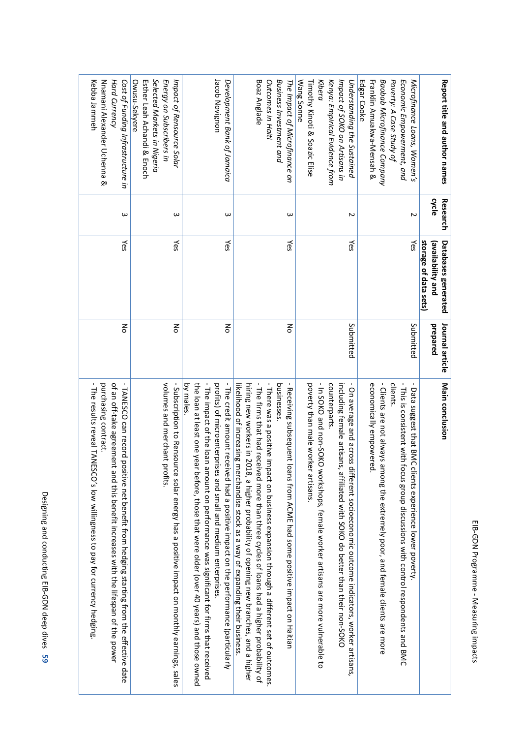| Cost of Funding Infrastructure in<br>Kebba Jammeh<br>Nuamani Alexander Uchenaa<br>Hard Currency                                                                                                                                                                                  | Selected Markets in Nigeria<br>Esther Leah Achandi & Enoch<br>Energy on Subscribers in<br>Owusu-Sekyere<br>Impact of Rensource Solar | Jacob Novignon<br>Development Bank of Jamaica                                                                                                                                                                                                                                                                                                            | Boaz Anglade<br>Outcomes in Haiti<br><b>Business Investment and</b><br>The Impact of Microfinance on                                                                                                                                                                                                                                                                                                                                                                         | Wang Sonne<br>Timothy Kinoti & Soazic Elise<br>Kibera<br>Kenya: Empirical Evidence from<br>Impact of SOKO on Artisans in<br>Understanding the Sustained                                                                                                                                                              | Edgar <sub>Cooke</sub><br>Baobab Microfinance Company<br><b>Franklin Amuakwa-Mensah &amp;</b><br>Poverty: A Case Study of<br>Economic Empowerment, and<br>Microfinance Loans, Women's                                                                                     | Report title and author names                                            |
|----------------------------------------------------------------------------------------------------------------------------------------------------------------------------------------------------------------------------------------------------------------------------------|--------------------------------------------------------------------------------------------------------------------------------------|----------------------------------------------------------------------------------------------------------------------------------------------------------------------------------------------------------------------------------------------------------------------------------------------------------------------------------------------------------|------------------------------------------------------------------------------------------------------------------------------------------------------------------------------------------------------------------------------------------------------------------------------------------------------------------------------------------------------------------------------------------------------------------------------------------------------------------------------|----------------------------------------------------------------------------------------------------------------------------------------------------------------------------------------------------------------------------------------------------------------------------------------------------------------------|---------------------------------------------------------------------------------------------------------------------------------------------------------------------------------------------------------------------------------------------------------------------------|--------------------------------------------------------------------------|
| ω                                                                                                                                                                                                                                                                                | ω                                                                                                                                    | ω                                                                                                                                                                                                                                                                                                                                                        | ω                                                                                                                                                                                                                                                                                                                                                                                                                                                                            | Z                                                                                                                                                                                                                                                                                                                    | Z                                                                                                                                                                                                                                                                         | cycle<br>Research                                                        |
| Yes                                                                                                                                                                                                                                                                              | Yes                                                                                                                                  | Yes                                                                                                                                                                                                                                                                                                                                                      | γes                                                                                                                                                                                                                                                                                                                                                                                                                                                                          | Yes                                                                                                                                                                                                                                                                                                                  | γes                                                                                                                                                                                                                                                                       | storage of data sets)<br><b>Databases generated</b><br>(availability and |
| 종                                                                                                                                                                                                                                                                                | 종                                                                                                                                    | 종                                                                                                                                                                                                                                                                                                                                                        | 종                                                                                                                                                                                                                                                                                                                                                                                                                                                                            | Submitted                                                                                                                                                                                                                                                                                                            | Submitted                                                                                                                                                                                                                                                                 | Journal article<br>prepared                                              |
| -TANESCO can record positive net benefit from hedging starting from the effective date<br>of an off-take agreement and this benefit increases with the lifespan of the power<br>purchasing contract.<br>The results reveal TANESCO's low willingness to pay for currency hedging | volumes and merchant p<br>- Subscription to Rensource solar energy has a positive impact on monthly earnings, sales<br>profits.      | - The impact of the loan amount on performance was significant for firms that received<br>by males.<br>the loan at least one year before, those that were older (over 40 years) and those owned<br>profits) of microenterprises and small and medium enterprises.<br>- The credit amount received had a positive impact on the performance (particularly | - The firms that had received more than three cycles of loans had a higher probability of<br>-There was a positive impact on business expansion through a different set of outcomes.<br>- Receiving subsequent loans from ACME had some positive impact on Haitian<br>businesses.<br>hiring are so what is 2010 is a high-community of the state of the state is and a high-revers on a d<br>likelihood of increasing merchandise stock as a way of expanding their business | -In SOKO and non-SOKO<br>counterparts.<br>- On average and across<br>poverty than male worker artisans.<br>including female artisans, affiliated with SOKO do better than their non-SOKO<br>different socioeconomic outcome indicators, worker artisans,<br>workshops, female worker artisans are more vulnerable to | - This is consistent with focus group discussions with control respondents and BMC<br>economically empowered.<br>- Clients are not always among the extremely poor, and female clients are more<br>clients.<br>Data suggest that BMC<br>clients experience lower poverty. | Main conclusion                                                          |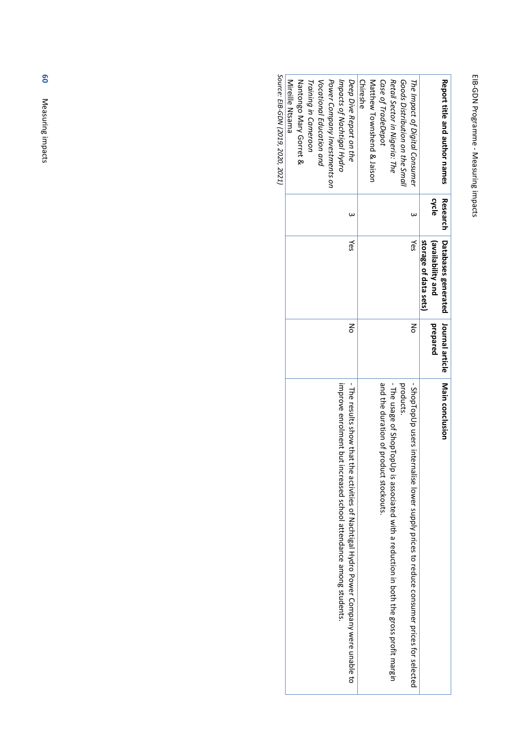# EIB-GDN Programme EIB-GDN Programme - Measuring impacts Measuring impacts

| Report title and author names   | <b>Research</b><br>cycle | Databases generated<br>storage of data sets)<br>(availability and | Journal article<br>prepared | Main conclusion                                                                              |
|---------------------------------|--------------------------|-------------------------------------------------------------------|-----------------------------|----------------------------------------------------------------------------------------------|
| The Impact of Digital Consumer  | ω                        | Yes                                                               | ξ                           | - ShopTopUp users inte<br>rnalise lower supply prices to reduce consumer prices for selected |
| Goods Distribution on the Small |                          |                                                                   |                             | products.                                                                                    |
| Retail Sector in Nigeria: The   |                          |                                                                   |                             | - The usage of ShopTopUp is associated with a reduction in both the gross profit margin      |
| Case of TradeDepot              |                          |                                                                   |                             | and the duration of product stockouts                                                        |
| Matthew Townshend & Jaison      |                          |                                                                   |                             |                                                                                              |
| <b>Chireshe</b>                 |                          |                                                                   |                             |                                                                                              |
| Deep Dive Report on the         |                          | γes                                                               | š                           | - The results show that the activities of Machigan Hydro Power Company were numble to        |
| Impacts of Nachtigal Hydro      |                          |                                                                   |                             | improve enrolment but<br>increased school attendance among students                          |
| Power Company Investments on    |                          |                                                                   |                             |                                                                                              |
| Vocational Education and        |                          |                                                                   |                             |                                                                                              |
| Training in Cameroon            |                          |                                                                   |                             |                                                                                              |
| Nantongo Mary Gorret &          |                          |                                                                   |                             |                                                                                              |
| <b>Mireille Ntsama</b>          |                          |                                                                   |                             |                                                                                              |
|                                 |                          |                                                                   |                             |                                                                                              |

Source: EIB-GDN (2019, 2020, 2021) *Source: EIB-GDN (2019, 2020, 2021)*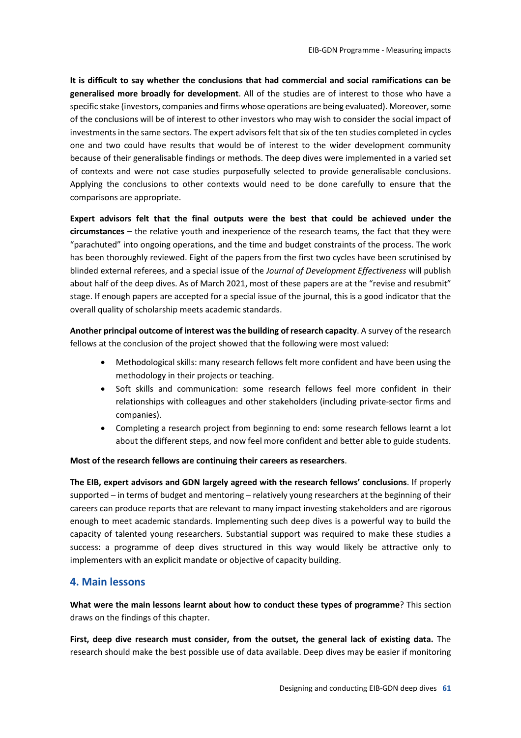**It is difficult to say whether the conclusions that had commercial and social ramifications can be generalised more broadly for development**. All of the studies are of interest to those who have a specific stake (investors, companies and firms whose operations are being evaluated). Moreover, some of the conclusions will be of interest to other investors who may wish to consider the social impact of investments in the same sectors. The expert advisors felt that six of the ten studies completed in cycles one and two could have results that would be of interest to the wider development community because of their generalisable findings or methods. The deep dives were implemented in a varied set of contexts and were not case studies purposefully selected to provide generalisable conclusions. Applying the conclusions to other contexts would need to be done carefully to ensure that the comparisons are appropriate.

**Expert advisors felt that the final outputs were the best that could be achieved under the circumstances** – the relative youth and inexperience of the research teams, the fact that they were "parachuted" into ongoing operations, and the time and budget constraints of the process. The work has been thoroughly reviewed. Eight of the papers from the first two cycles have been scrutinised by blinded external referees, and a special issue of the *Journal of Development Effectiveness* will publish about half of the deep dives. As of March 2021, most of these papers are at the "revise and resubmit" stage. If enough papers are accepted for a special issue of the journal, this is a good indicator that the overall quality of scholarship meets academic standards.

**Another principal outcome of interest was the building of research capacity**. A survey of the research fellows at the conclusion of the project showed that the following were most valued:

- x Methodological skills: many research fellows felt more confident and have been using the methodology in their projects or teaching.
- Soft skills and communication: some research fellows feel more confident in their relationships with colleagues and other stakeholders (including private-sector firms and companies).
- Completing a research project from beginning to end: some research fellows learnt a lot about the different steps, and now feel more confident and better able to guide students.

#### **Most of the research fellows are continuing their careers as researchers**.

**The EIB, expert advisors and GDN largely agreed with the research fellows' conclusions**. If properly supported – in terms of budget and mentoring – relatively young researchers at the beginning of their careers can produce reports that are relevant to many impact investing stakeholders and are rigorous enough to meet academic standards. Implementing such deep dives is a powerful way to build the capacity of talented young researchers. Substantial support was required to make these studies a success: a programme of deep dives structured in this way would likely be attractive only to implementers with an explicit mandate or objective of capacity building.

#### **4. Main lessons**

**What were the main lessons learnt about how to conduct these types of programme**? This section draws on the findings of this chapter.

**First, deep dive research must consider, from the outset, the general lack of existing data.** The research should make the best possible use of data available. Deep dives may be easier if monitoring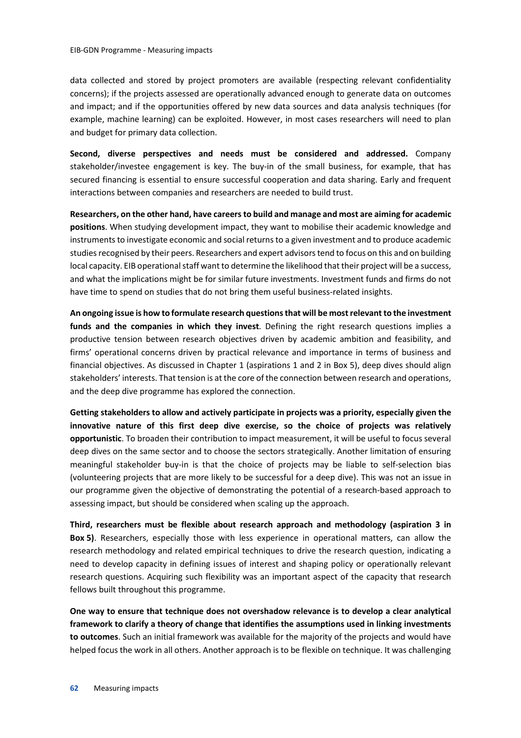data collected and stored by project promoters are available (respecting relevant confidentiality concerns); if the projects assessed are operationally advanced enough to generate data on outcomes and impact; and if the opportunities offered by new data sources and data analysis techniques (for example, machine learning) can be exploited. However, in most cases researchers will need to plan and budget for primary data collection.

**Second, diverse perspectives and needs must be considered and addressed.** Company stakeholder/investee engagement is key. The buy-in of the small business, for example, that has secured financing is essential to ensure successful cooperation and data sharing. Early and frequent interactions between companies and researchers are needed to build trust.

**Researchers, on the other hand, have careers to build and manage and most are aiming for academic positions**. When studying development impact, they want to mobilise their academic knowledge and instruments to investigate economic and social returns to a given investment and to produce academic studies recognised by their peers. Researchers and expert advisors tend to focus on this and on building local capacity. EIB operational staff want to determine the likelihood that their project will be a success, and what the implications might be for similar future investments. Investment funds and firms do not have time to spend on studies that do not bring them useful business-related insights.

**An ongoing issue is how to formulate research questions that will be most relevant to the investment funds and the companies in which they invest**. Defining the right research questions implies a productive tension between research objectives driven by academic ambition and feasibility, and firms' operational concerns driven by practical relevance and importance in terms of business and financial objectives. As discussed in Chapter 1 (aspirations 1 and 2 in Box 5), deep dives should align stakeholders' interests. That tension is at the core of the connection between research and operations, and the deep dive programme has explored the connection.

**Getting stakeholders to allow and actively participate in projects was a priority, especially given the innovative nature of this first deep dive exercise, so the choice of projects was relatively opportunistic**. To broaden their contribution to impact measurement, it will be useful to focus several deep dives on the same sector and to choose the sectors strategically. Another limitation of ensuring meaningful stakeholder buy-in is that the choice of projects may be liable to self-selection bias (volunteering projects that are more likely to be successful for a deep dive). This was not an issue in our programme given the objective of demonstrating the potential of a research-based approach to assessing impact, but should be considered when scaling up the approach.

**Third, researchers must be flexible about research approach and methodology (aspiration 3 in Box 5)**. Researchers, especially those with less experience in operational matters, can allow the research methodology and related empirical techniques to drive the research question, indicating a need to develop capacity in defining issues of interest and shaping policy or operationally relevant research questions. Acquiring such flexibility was an important aspect of the capacity that research fellows built throughout this programme.

**One way to ensure that technique does not overshadow relevance is to develop a clear analytical framework to clarify a theory of change that identifies the assumptions used in linking investments to outcomes**. Such an initial framework was available for the majority of the projects and would have helped focus the work in all others. Another approach is to be flexible on technique. It was challenging